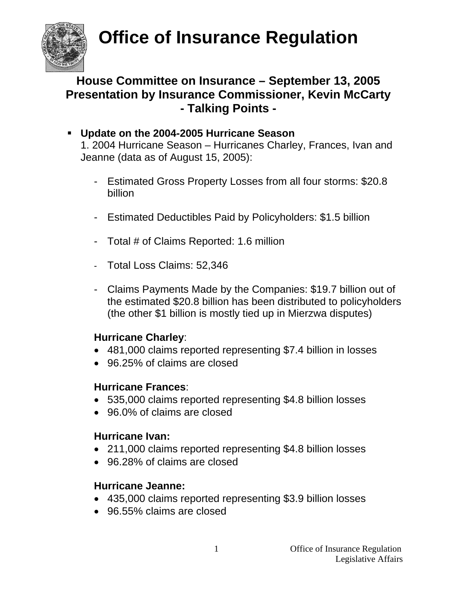

### **House Committee on Insurance – September 13, 2005 Presentation by Insurance Commissioner, Kevin McCarty - Talking Points -**

#### **Update on the 2004-2005 Hurricane Season**

1. 2004 Hurricane Season – Hurricanes Charley, Frances, Ivan and Jeanne (data as of August 15, 2005):

- Estimated Gross Property Losses from all four storms: \$20.8 billion
- Estimated Deductibles Paid by Policyholders: \$1.5 billion
- Total # of Claims Reported: 1.6 million
- Total Loss Claims: 52,346
- Claims Payments Made by the Companies: \$19.7 billion out of the estimated \$20.8 billion has been distributed to policyholders (the other \$1 billion is mostly tied up in Mierzwa disputes)

#### **Hurricane Charley**:

- 481,000 claims reported representing \$7.4 billion in losses
- 96.25% of claims are closed

#### **Hurricane Frances**:

- 535,000 claims reported representing \$4.8 billion losses
- 96.0% of claims are closed

#### **Hurricane Ivan:**

- 211,000 claims reported representing \$4.8 billion losses
- 96.28% of claims are closed

#### **Hurricane Jeanne:**

- 435,000 claims reported representing \$3.9 billion losses
- 96.55% claims are closed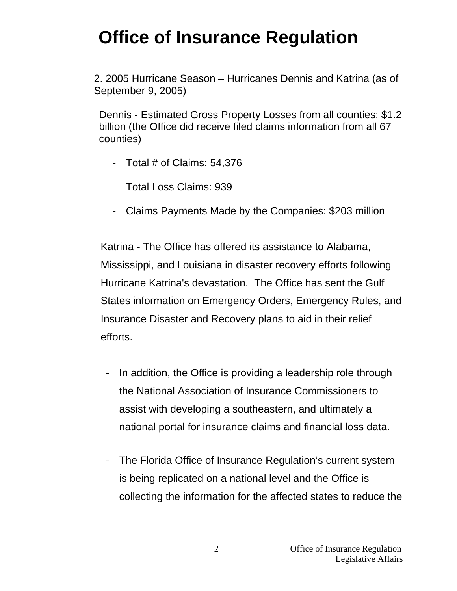2. 2005 Hurricane Season – Hurricanes Dennis and Katrina (as of September 9, 2005)

Dennis - Estimated Gross Property Losses from all counties: \$1.2 billion (the Office did receive filed claims information from all 67 counties)

- Total # of Claims: 54,376
- Total Loss Claims: 939
- Claims Payments Made by the Companies: \$203 million

Katrina - The Office has offered its assistance to Alabama, Mississippi, and Louisiana in disaster recovery efforts following Hurricane Katrina's devastation. The Office has sent the Gulf States information on Emergency Orders, Emergency Rules, and Insurance Disaster and Recovery plans to aid in their relief efforts.

- In addition, the Office is providing a leadership role through the National Association of Insurance Commissioners to assist with developing a southeastern, and ultimately a national portal for insurance claims and financial loss data.
- The Florida Office of Insurance Regulation's current system is being replicated on a national level and the Office is collecting the information for the affected states to reduce the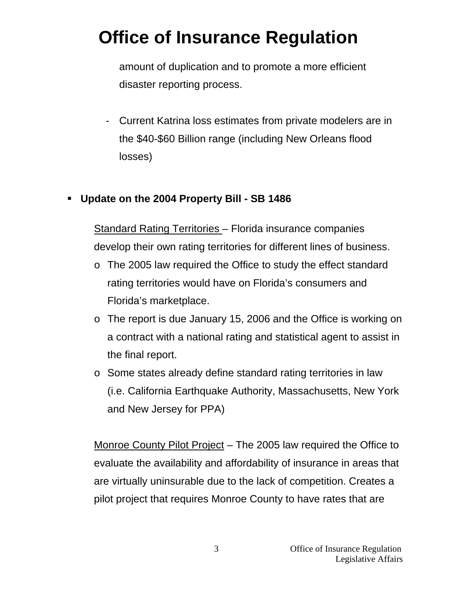amount of duplication and to promote a more efficient disaster reporting process.

- Current Katrina loss estimates from private modelers are in the \$40-\$60 Billion range (including New Orleans flood losses)

#### **Update on the 2004 Property Bill - SB 1486**

Standard Rating Territories – Florida insurance companies develop their own rating territories for different lines of business.

- o The 2005 law required the Office to study the effect standard rating territories would have on Florida's consumers and Florida's marketplace.
- o The report is due January 15, 2006 and the Office is working on a contract with a national rating and statistical agent to assist in the final report.
- o Some states already define standard rating territories in law (i.e. California Earthquake Authority, Massachusetts, New York and New Jersey for PPA)

Monroe County Pilot Project – The 2005 law required the Office to evaluate the availability and affordability of insurance in areas that are virtually uninsurable due to the lack of competition. Creates a pilot project that requires Monroe County to have rates that are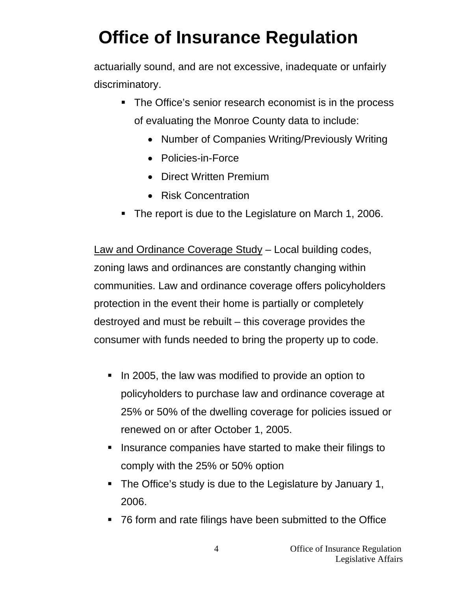actuarially sound, and are not excessive, inadequate or unfairly discriminatory.

- The Office's senior research economist is in the process of evaluating the Monroe County data to include:
	- Number of Companies Writing/Previously Writing
	- Policies-in-Force
	- Direct Written Premium
	- Risk Concentration
- The report is due to the Legislature on March 1, 2006.

Law and Ordinance Coverage Study – Local building codes, zoning laws and ordinances are constantly changing within communities. Law and ordinance coverage offers policyholders protection in the event their home is partially or completely destroyed and must be rebuilt – this coverage provides the consumer with funds needed to bring the property up to code.

- In 2005, the law was modified to provide an option to policyholders to purchase law and ordinance coverage at 25% or 50% of the dwelling coverage for policies issued or renewed on or after October 1, 2005.
- **I** Insurance companies have started to make their filings to comply with the 25% or 50% option
- The Office's study is due to the Legislature by January 1, 2006.
- 76 form and rate filings have been submitted to the Office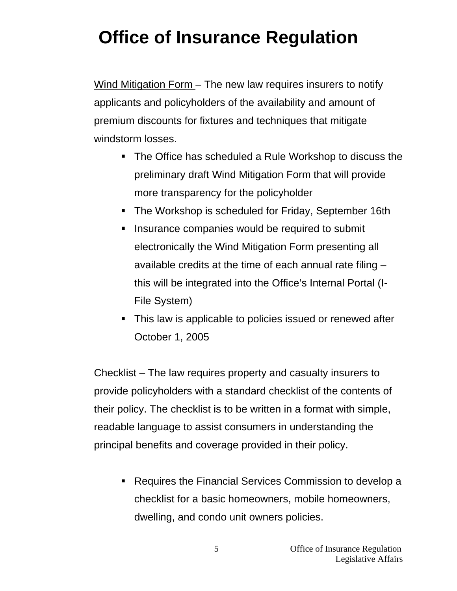Wind Mitigation Form – The new law requires insurers to notify applicants and policyholders of the availability and amount of premium discounts for fixtures and techniques that mitigate windstorm losses.

- The Office has scheduled a Rule Workshop to discuss the preliminary draft Wind Mitigation Form that will provide more transparency for the policyholder
- The Workshop is scheduled for Friday, September 16th
- **If** Insurance companies would be required to submit electronically the Wind Mitigation Form presenting all available credits at the time of each annual rate filing – this will be integrated into the Office's Internal Portal (I-File System)
- This law is applicable to policies issued or renewed after October 1, 2005

Checklist – The law requires property and casualty insurers to provide policyholders with a standard checklist of the contents of their policy. The checklist is to be written in a format with simple, readable language to assist consumers in understanding the principal benefits and coverage provided in their policy.

**Requires the Financial Services Commission to develop a** checklist for a basic homeowners, mobile homeowners, dwelling, and condo unit owners policies.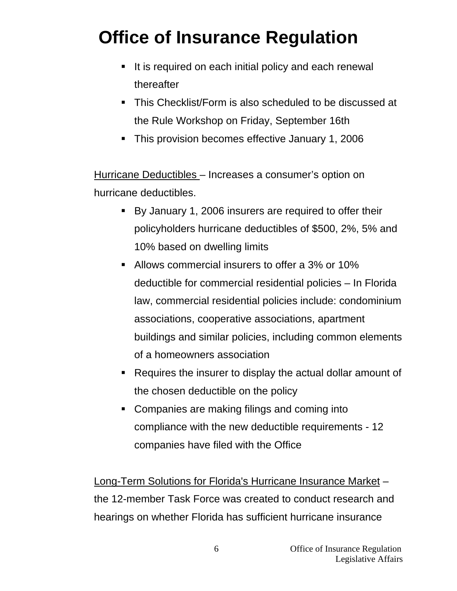- It is required on each initial policy and each renewal thereafter
- This Checklist/Form is also scheduled to be discussed at the Rule Workshop on Friday, September 16th
- This provision becomes effective January 1, 2006

Hurricane Deductibles – Increases a consumer's option on hurricane deductibles.

- By January 1, 2006 insurers are required to offer their policyholders hurricane deductibles of \$500, 2%, 5% and 10% based on dwelling limits
- Allows commercial insurers to offer a 3% or 10% deductible for commercial residential policies – In Florida law, commercial residential policies include: condominium associations, cooperative associations, apartment buildings and similar policies, including common elements of a homeowners association
- Requires the insurer to display the actual dollar amount of the chosen deductible on the policy
- **Companies are making filings and coming into** compliance with the new deductible requirements - 12 companies have filed with the Office

Long-Term Solutions for Florida's Hurricane Insurance Market – the 12-member Task Force was created to conduct research and hearings on whether Florida has sufficient hurricane insurance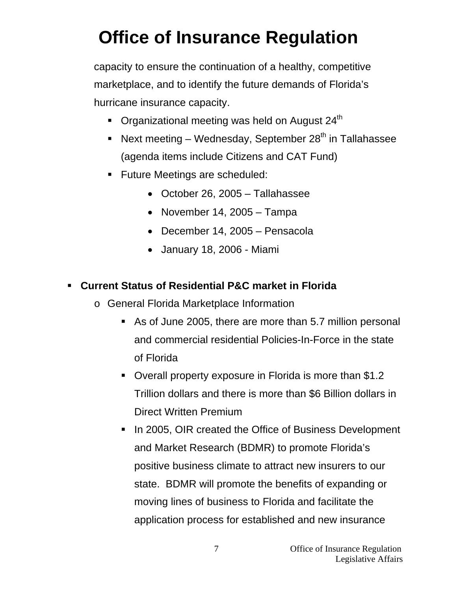capacity to ensure the continuation of a healthy, competitive marketplace, and to identify the future demands of Florida's hurricane insurance capacity.

- Organizational meeting was held on August  $24<sup>th</sup>$
- Next meeting Wednesday, September  $28<sup>th</sup>$  in Tallahassee (agenda items include Citizens and CAT Fund)
- **Future Meetings are scheduled:** 
	- October 26, 2005 Tallahassee
	- November 14, 2005 Tampa
	- December 14, 2005 Pensacola
	- January 18, 2006 Miami

### **Current Status of Residential P&C market in Florida**

- o General Florida Marketplace Information
	- As of June 2005, there are more than 5.7 million personal and commercial residential Policies-In-Force in the state of Florida
	- Overall property exposure in Florida is more than \$1.2 Trillion dollars and there is more than \$6 Billion dollars in Direct Written Premium
	- In 2005, OIR created the Office of Business Development and Market Research (BDMR) to promote Florida's positive business climate to attract new insurers to our state. BDMR will promote the benefits of expanding or moving lines of business to Florida and facilitate the application process for established and new insurance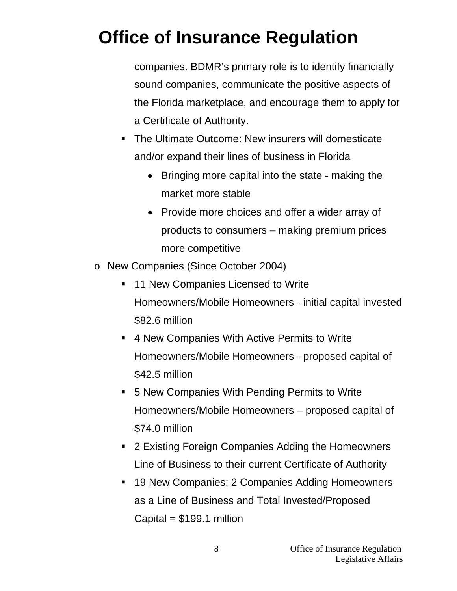companies. BDMR's primary role is to identify financially sound companies, communicate the positive aspects of the Florida marketplace, and encourage them to apply for a Certificate of Authority.

- The Ultimate Outcome: New insurers will domesticate and/or expand their lines of business in Florida
	- Bringing more capital into the state making the market more stable
	- Provide more choices and offer a wider array of products to consumers – making premium prices more competitive
- o New Companies (Since October 2004)
	- **11 New Companies Licensed to Write** Homeowners/Mobile Homeowners - initial capital invested \$82.6 million
	- 4 New Companies With Active Permits to Write Homeowners/Mobile Homeowners - proposed capital of \$42.5 million
	- 5 New Companies With Pending Permits to Write Homeowners/Mobile Homeowners – proposed capital of \$74.0 million
	- 2 Existing Foreign Companies Adding the Homeowners Line of Business to their current Certificate of Authority
	- 19 New Companies; 2 Companies Adding Homeowners as a Line of Business and Total Invested/Proposed Capital  $= $199.1$  million